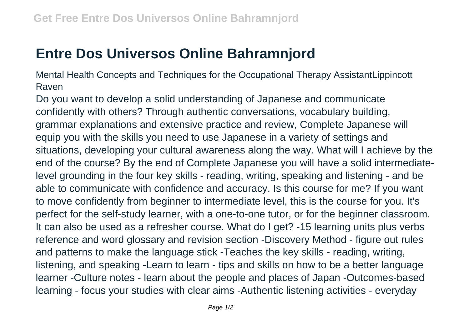## **Entre Dos Universos Online Bahramnjord**

Mental Health Concepts and Techniques for the Occupational Therapy AssistantLippincott Raven

Do you want to develop a solid understanding of Japanese and communicate confidently with others? Through authentic conversations, vocabulary building, grammar explanations and extensive practice and review, Complete Japanese will equip you with the skills you need to use Japanese in a variety of settings and situations, developing your cultural awareness along the way. What will I achieve by the end of the course? By the end of Complete Japanese you will have a solid intermediatelevel grounding in the four key skills - reading, writing, speaking and listening - and be able to communicate with confidence and accuracy. Is this course for me? If you want to move confidently from beginner to intermediate level, this is the course for you. It's perfect for the self-study learner, with a one-to-one tutor, or for the beginner classroom. It can also be used as a refresher course. What do I get? -15 learning units plus verbs reference and word glossary and revision section -Discovery Method - figure out rules and patterns to make the language stick -Teaches the key skills - reading, writing, listening, and speaking -Learn to learn - tips and skills on how to be a better language learner -Culture notes - learn about the people and places of Japan -Outcomes-based learning - focus your studies with clear aims -Authentic listening activities - everyday